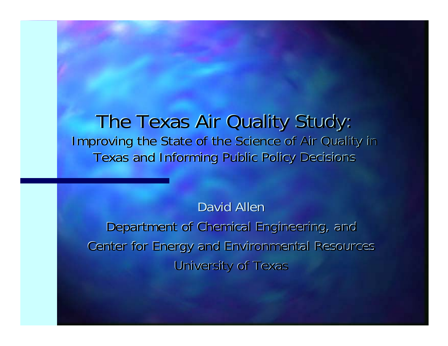#### The Texas Air Quality Study: Improving the State of the Science of Air Quality in Texas and Informing Public Policy Decisions Texas and Informing Public Policy Decisions

David Allen Department of Chemical Engineering, and Center for Energy and Environmental Resources **University of Texas**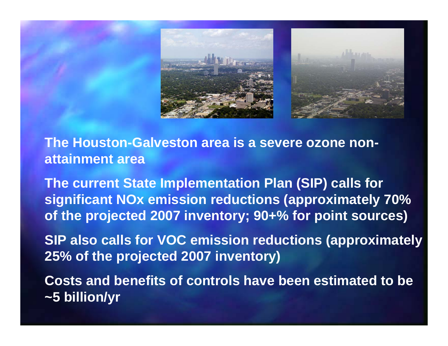



**The Houston-Galveston area is a severe ozone nonattainment area** 

**The current State Implementation Plan (SIP) calls for significant NOx emission reductions (approximately 70% of the projected 2007 inventory; 90+% for point sources)** 

**SIP also calls for VOC emission reductions (approximately 25% of the projected 2007 inventory)** 

**Costs and benefits of controls have been estimated to be ~5 billion/yr**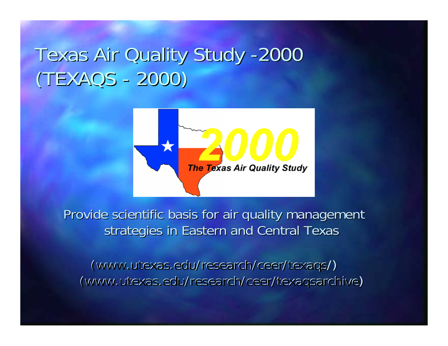## Texas Air Quality Study -2000 (TEXAQS - 2000) (TEXAQS - 2000)



Provide scientific basis for air quality management strategies in Eastern and Central Texas

(www.utexas.edu/research/ceer/texaqs/) (www.utexas.edu/research/ceer/texaqsarchive)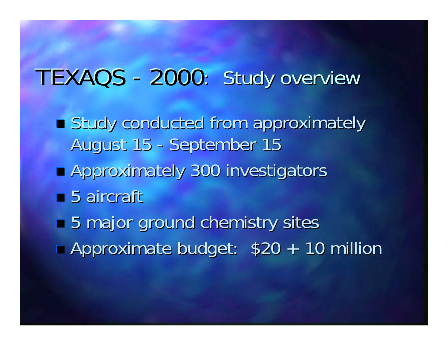#### TEXAQS - 2000: : Study overview

- Study conducted from approximately August 15 - September 15 **Approximately 300 investigators**  $\blacksquare$  5 aircraft
- 5 major ground chemistry sites  $\overline{\phantom{0}}$ Approximate budget: \$20 + 10 million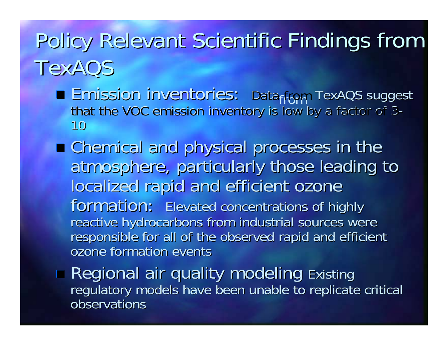# Policy Relevant Scientific Findings from TexAQS

- **Emission inventories: Dataffom TexAQS suggest** that the VOC emission inventory is low by a factor of 3-10
- Chemical and physical processes in the Chemical and physical processes in the atmosphere, particularly those leading to localized rapid and efficient ozone formation: Elevated concentrations of highly reactive hydrocarbons from industrial sources were responsible for all of the observed rapid and efficient ozone formation events
- **Regional air quality modeling Existing Existing** regulatory models have been unable to replicate critical observations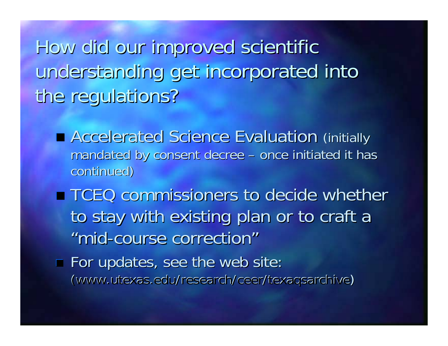How did our improved scientific understanding get incorporated into the regulations?

- **E** Accelerated Science Evaluation (initially mandated by consent decree – once initiated it has continued)
- **TCEQ commissioners to decide whether** to stay with existing plan or to craft a "mid-course correction" "mid-course correction"
- $\blacksquare$  For updates, see the web site: (www.utexas.edu/research/ceer/texaqsarchive)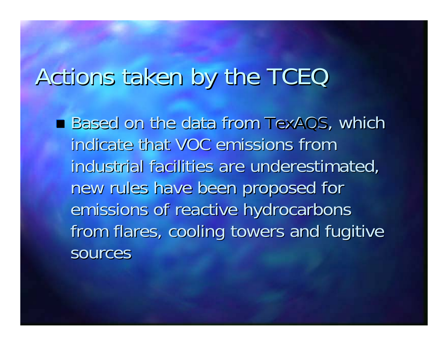# Actions taken by the TCEQ

■ Based on the data from TexAQS, which indicate that VOC emissions from industrial facilities are underestimated, new rules have been proposed for new rules have been proposed for emissions of reactive hydrocarbons from flares, cooling towers and fugitive sources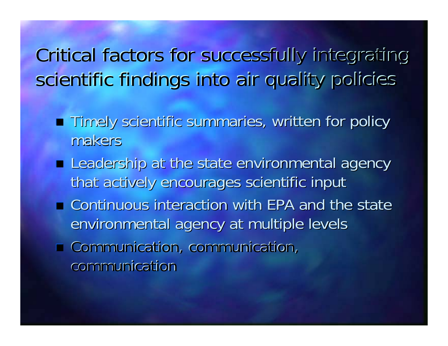### Critical factors for successfully integrating Critical factors for successfully integrating scientific findings into air quality policies

- **Timely scientific summaries, written for policy** makers
- **E** Leadership at the state environmental agency that actively encourages scientific input
- $\blacksquare$  Continuous interaction with EPA and the state environmental agency at multiple levels
- $\blacksquare$  Communication, communication, communication